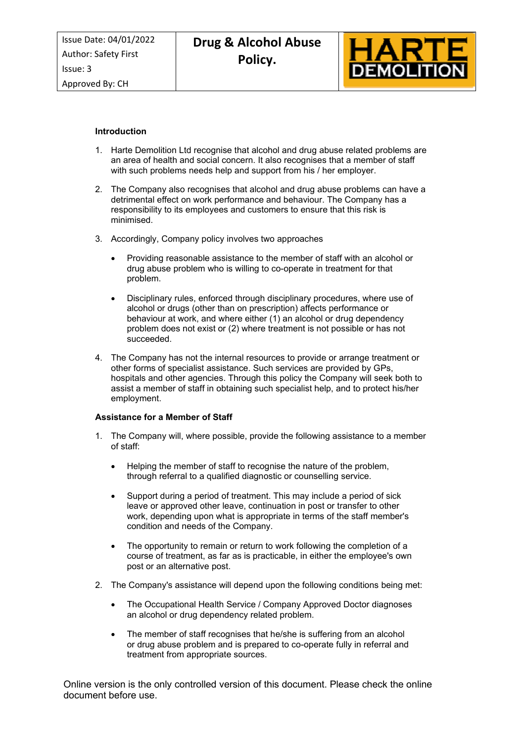Approved By: CH



## **Introduction**

- 1. Harte Demolition Ltd recognise that alcohol and drug abuse related problems are an area of health and social concern. It also recognises that a member of staff with such problems needs help and support from his / her employer.
- 2. The Company also recognises that alcohol and drug abuse problems can have a detrimental effect on work performance and behaviour. The Company has a responsibility to its employees and customers to ensure that this risk is minimised.
- 3. Accordingly, Company policy involves two approaches
	- Providing reasonable assistance to the member of staff with an alcohol or drug abuse problem who is willing to co-operate in treatment for that problem.
	- Disciplinary rules, enforced through disciplinary procedures, where use of alcohol or drugs (other than on prescription) affects performance or behaviour at work, and where either (1) an alcohol or drug dependency problem does not exist or (2) where treatment is not possible or has not succeeded.
- 4. The Company has not the internal resources to provide or arrange treatment or other forms of specialist assistance. Such services are provided by GPs, hospitals and other agencies. Through this policy the Company will seek both to assist a member of staff in obtaining such specialist help, and to protect his/her employment.

#### **Assistance for a Member of Staff**

- 1. The Company will, where possible, provide the following assistance to a member of staff:
	- Helping the member of staff to recognise the nature of the problem, through referral to a qualified diagnostic or counselling service.
	- Support during a period of treatment. This may include a period of sick leave or approved other leave, continuation in post or transfer to other work, depending upon what is appropriate in terms of the staff member's condition and needs of the Company.
	- The opportunity to remain or return to work following the completion of a course of treatment, as far as is practicable, in either the employee's own post or an alternative post.
- 2. The Company's assistance will depend upon the following conditions being met:
	- The Occupational Health Service / Company Approved Doctor diagnoses an alcohol or drug dependency related problem.
	- The member of staff recognises that he/she is suffering from an alcohol or drug abuse problem and is prepared to co-operate fully in referral and treatment from appropriate sources.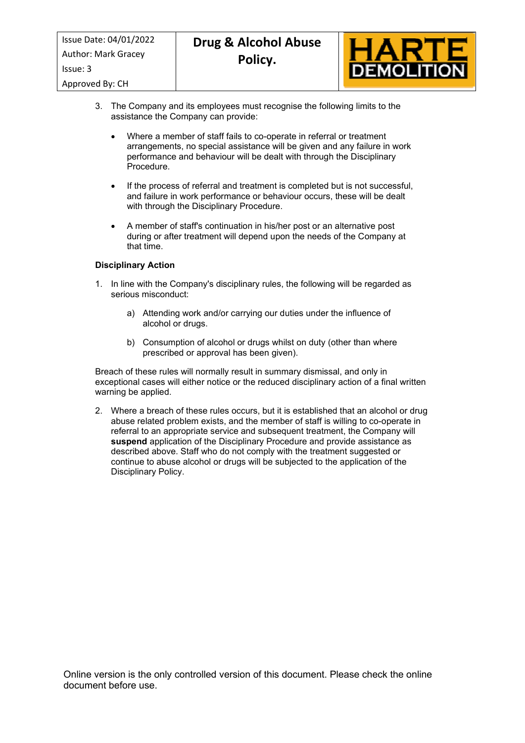

- 3. The Company and its employees must recognise the following limits to the assistance the Company can provide:
	- Where a member of staff fails to co-operate in referral or treatment arrangements, no special assistance will be given and any failure in work performance and behaviour will be dealt with through the Disciplinary Procedure.
	- If the process of referral and treatment is completed but is not successful, and failure in work performance or behaviour occurs, these will be dealt with through the Disciplinary Procedure.
	- A member of staff's continuation in his/her post or an alternative post during or after treatment will depend upon the needs of the Company at that time.

## **Disciplinary Action**

- 1. In line with the Company's disciplinary rules, the following will be regarded as serious misconduct:
	- a) Attending work and/or carrying our duties under the influence of alcohol or drugs.
	- b) Consumption of alcohol or drugs whilst on duty (other than where prescribed or approval has been given).

Breach of these rules will normally result in summary dismissal, and only in exceptional cases will either notice or the reduced disciplinary action of a final written warning be applied.

2. Where a breach of these rules occurs, but it is established that an alcohol or drug abuse related problem exists, and the member of staff is willing to co-operate in referral to an appropriate service and subsequent treatment, the Company will **suspend** application of the Disciplinary Procedure and provide assistance as described above. Staff who do not comply with the treatment suggested or continue to abuse alcohol or drugs will be subjected to the application of the Disciplinary Policy.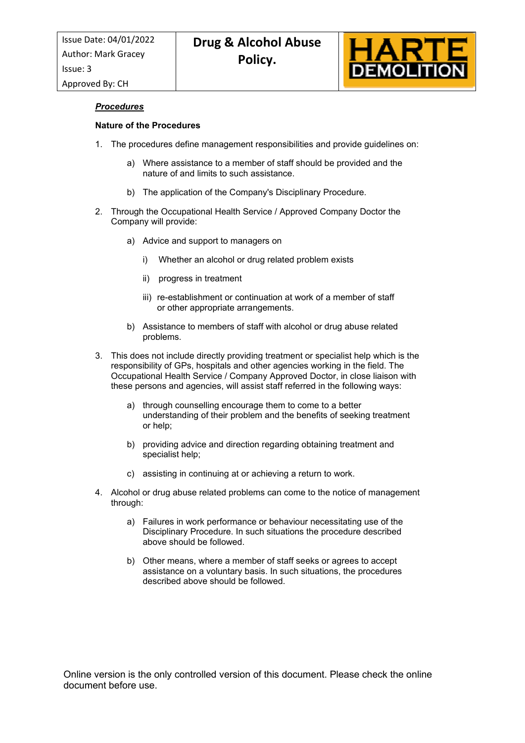

## *Procedures*

## **Nature of the Procedures**

- 1. The procedures define management responsibilities and provide guidelines on:
	- a) Where assistance to a member of staff should be provided and the nature of and limits to such assistance.
	- b) The application of the Company's Disciplinary Procedure.
- 2. Through the Occupational Health Service / Approved Company Doctor the Company will provide:
	- a) Advice and support to managers on
		- i) Whether an alcohol or drug related problem exists
		- ii) progress in treatment
		- iii) re-establishment or continuation at work of a member of staff or other appropriate arrangements.
	- b) Assistance to members of staff with alcohol or drug abuse related problems.
- 3. This does not include directly providing treatment or specialist help which is the responsibility of GPs, hospitals and other agencies working in the field. The Occupational Health Service / Company Approved Doctor, in close liaison with these persons and agencies, will assist staff referred in the following ways:
	- a) through counselling encourage them to come to a better understanding of their problem and the benefits of seeking treatment or help;
	- b) providing advice and direction regarding obtaining treatment and specialist help;
	- c) assisting in continuing at or achieving a return to work.
- 4. Alcohol or drug abuse related problems can come to the notice of management through:
	- a) Failures in work performance or behaviour necessitating use of the Disciplinary Procedure. In such situations the procedure described above should be followed.
	- b) Other means, where a member of staff seeks or agrees to accept assistance on a voluntary basis. In such situations, the procedures described above should be followed.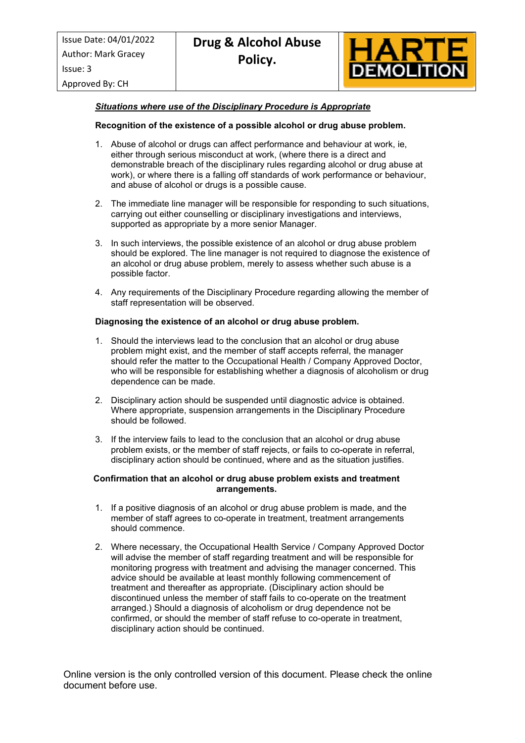

Approved By: CH

## *Situations where use of the Disciplinary Procedure is Appropriate*

## **Recognition of the existence of a possible alcohol or drug abuse problem.**

- 1. Abuse of alcohol or drugs can affect performance and behaviour at work, ie, either through serious misconduct at work, (where there is a direct and demonstrable breach of the disciplinary rules regarding alcohol or drug abuse at work), or where there is a falling off standards of work performance or behaviour, and abuse of alcohol or drugs is a possible cause.
- 2. The immediate line manager will be responsible for responding to such situations, carrying out either counselling or disciplinary investigations and interviews, supported as appropriate by a more senior Manager.
- 3. In such interviews, the possible existence of an alcohol or drug abuse problem should be explored. The line manager is not required to diagnose the existence of an alcohol or drug abuse problem, merely to assess whether such abuse is a possible factor.
- 4. Any requirements of the Disciplinary Procedure regarding allowing the member of staff representation will be observed.

#### **Diagnosing the existence of an alcohol or drug abuse problem.**

- 1. Should the interviews lead to the conclusion that an alcohol or drug abuse problem might exist, and the member of staff accepts referral, the manager should refer the matter to the Occupational Health / Company Approved Doctor, who will be responsible for establishing whether a diagnosis of alcoholism or drug dependence can be made.
- 2. Disciplinary action should be suspended until diagnostic advice is obtained. Where appropriate, suspension arrangements in the Disciplinary Procedure should be followed.
- 3. If the interview fails to lead to the conclusion that an alcohol or drug abuse problem exists, or the member of staff rejects, or fails to co-operate in referral, disciplinary action should be continued, where and as the situation justifies.

### **Confirmation that an alcohol or drug abuse problem exists and treatment arrangements.**

- 1. If a positive diagnosis of an alcohol or drug abuse problem is made, and the member of staff agrees to co-operate in treatment, treatment arrangements should commence.
- 2. Where necessary, the Occupational Health Service / Company Approved Doctor will advise the member of staff regarding treatment and will be responsible for monitoring progress with treatment and advising the manager concerned. This advice should be available at least monthly following commencement of treatment and thereafter as appropriate. (Disciplinary action should be discontinued unless the member of staff fails to co-operate on the treatment arranged.) Should a diagnosis of alcoholism or drug dependence not be confirmed, or should the member of staff refuse to co-operate in treatment, disciplinary action should be continued.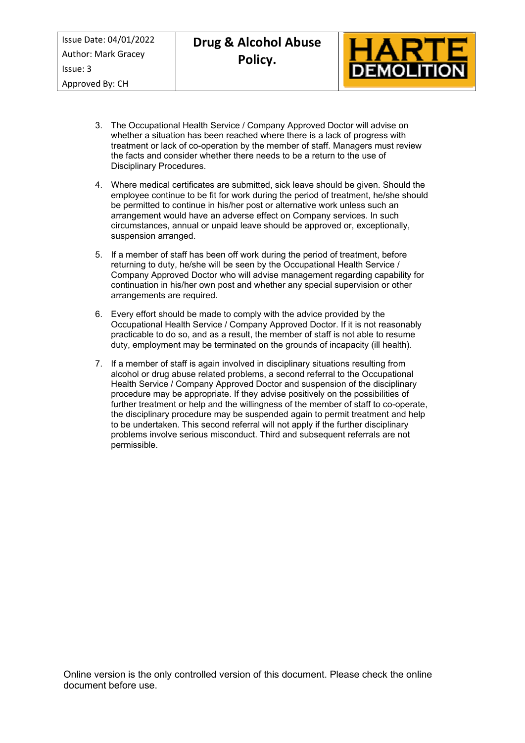

- 3. The Occupational Health Service / Company Approved Doctor will advise on whether a situation has been reached where there is a lack of progress with treatment or lack of co-operation by the member of staff. Managers must review the facts and consider whether there needs to be a return to the use of Disciplinary Procedures.
- 4. Where medical certificates are submitted, sick leave should be given. Should the employee continue to be fit for work during the period of treatment, he/she should be permitted to continue in his/her post or alternative work unless such an arrangement would have an adverse effect on Company services. In such circumstances, annual or unpaid leave should be approved or, exceptionally, suspension arranged.
- 5. If a member of staff has been off work during the period of treatment, before returning to duty, he/she will be seen by the Occupational Health Service / Company Approved Doctor who will advise management regarding capability for continuation in his/her own post and whether any special supervision or other arrangements are required.
- 6. Every effort should be made to comply with the advice provided by the Occupational Health Service / Company Approved Doctor. If it is not reasonably practicable to do so, and as a result, the member of staff is not able to resume duty, employment may be terminated on the grounds of incapacity (ill health).
- 7. If a member of staff is again involved in disciplinary situations resulting from alcohol or drug abuse related problems, a second referral to the Occupational Health Service / Company Approved Doctor and suspension of the disciplinary procedure may be appropriate. If they advise positively on the possibilities of further treatment or help and the willingness of the member of staff to co-operate, the disciplinary procedure may be suspended again to permit treatment and help to be undertaken. This second referral will not apply if the further disciplinary problems involve serious misconduct. Third and subsequent referrals are not permissible.